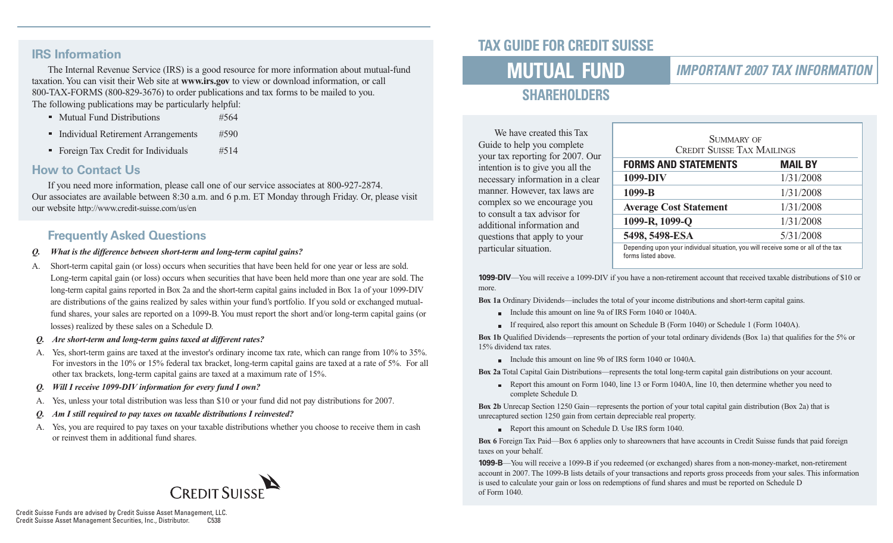#### **IRS Information**

The Internal Revenue Service (IRS) is a good resource for more information about mutual-fund taxation. You can visit their Web site at **www.irs.gov** to view or download information, or call 800-TAX-FORMS (800-829-3676) to order publications and tax forms to be mailed to you. The following publications may be particularly helpful:

- Mutual Fund Distributions #564
- Individual Retirement Arrangements #590
- Foreign Tax Credit for Individuals #514

#### **How to Contact Us**

If you need more information, please call one of our service associates at 800-927-2874. Our associates are available between 8:30 a.m. and 6 p.m. ET Monday through Friday. Or, please visit our website http://www.credit-suisse.com/us/en

#### **Frequently Asked Questions**

- *Q. What is the difference between short-term and long-term capital gains?*
- A. Short-term capital gain (or loss) occurs when securities that have been held for one year or less are sold. Long-term capital gain (or loss) occurs when securities that have been held more than one year are sold. The long-term capital gains reported in Box 2a and the short-term capital gains included in Box 1a of your 1099-DIV are distributions of the gains realized by sales within your fund's portfolio. If you sold or exchanged mutualfund shares, your sales are reported on a 1099-B. You must report the short and/or long-term capital gains (or losses) realized by these sales on a Schedule D.
- *Q. Are short-term and long-term gains taxed at different rates?*
- A. Yes, short-term gains are taxed at the investor's ordinary income tax rate, which can range from 10% to 35%. For investors in the 10% or 15% federal tax bracket, long-term capital gains are taxed at a rate of 5%. For all other tax brackets, long-term capital gains are taxed at a maximum rate of 15%.
- *Q. Will I receive 1099-DIV information for every fund I own?*
- A. Yes, unless your total distribution was less than \$10 or your fund did not pay distributions for 2007.
- *Am I still required to pay taxes on taxable distributions I reinvested?*
- A. Yes, you are required to pay taxes on your taxable distributions whether you choose to receive them in cash or reinvest them in additional fund shares.



# **TAX GUIDE FOR CREDIT SUISSE**

# **MUTUAL FUND**

#### **IMPORTANT 2007 TAX INFORMATION**

# **SHAREHOLDERS**

We have created this Tax Guide to help you complete your tax reporting for 2007. Our intention is to give you all the necessary information in a clear manner. However, tax laws are complex so we encourage you to consult a tax advisor for additional information and questions that apply to your particular situation.

| SUMMARY OF<br><b>CREDIT SUISSE TAX MAILINGS</b>                                                          |                |  |  |  |
|----------------------------------------------------------------------------------------------------------|----------------|--|--|--|
| <b>FORMS AND STATEMENTS</b>                                                                              | <b>MAIL BY</b> |  |  |  |
| 1099-DIV                                                                                                 | 1/31/2008      |  |  |  |
| 1099-B                                                                                                   | 1/31/2008      |  |  |  |
| <b>Average Cost Statement</b>                                                                            | 1/31/2008      |  |  |  |
| 1099-R, 1099-Q                                                                                           | 1/31/2008      |  |  |  |
| 5498, 5498-ESA                                                                                           | 5/31/2008      |  |  |  |
| Depending upon your individual situation, you will receive some or all of the tax<br>forms listed above. |                |  |  |  |

**1099-DIV**—You will receive a 1099-DIV if you have a non-retirement account that received taxable distributions of \$10 or more.

**Box 1a** Ordinary Dividends—includes the total of your income distributions and short-term capital gains.

- Include this amount on line 9a of IRS Form 1040 or 1040A.
- If required, also report this amount on Schedule B (Form 1040) or Schedule 1 (Form 1040A).

**Box 1b** Qualified Dividends—represents the portion of your total ordinary dividends (Box 1a) that qualifies for the 5% or 15% dividend tax rates.

Include this amount on line 9b of IRS form 1040 or 1040A.

**Box 2a** Total Capital Gain Distributions—represents the total long-term capital gain distributions on your account.

Report this amount on Form 1040, line 13 or Form 1040A, line 10, then determine whether you need to complete Schedule D.

**Box 2b** Unrecap Section 1250 Gain—represents the portion of your total capital gain distribution (Box 2a) that is unrecaptured section 1250 gain from certain depreciable real property.

Report this amount on Schedule D. Use IRS form 1040.

**Box 6** Foreign Tax Paid—Box 6 applies only to shareowners that have accounts in Credit Suisse funds that paid foreign taxes on your behalf.

**1099-B**—You will receive a 1099-B if you redeemed (or exchanged) shares from a non-money-market, non-retirement account in 2007. The 1099-B lists details of your transactions and reports gross proceeds from your sales. This information is used to calculate your gain or loss on redemptions of fund shares and must be reported on Schedule D of Form 1040.

Credit Suisse Funds are advised by Credit Suisse Asset Management, LLC. Credit Suisse Asset Management Securities, Inc., Distributor.